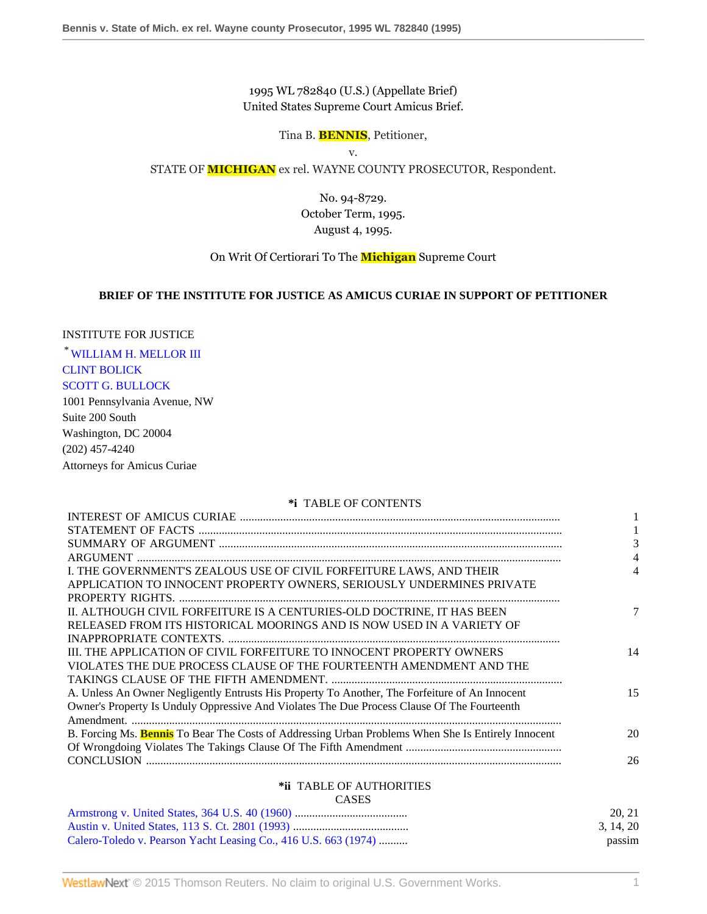1995 WL 782840 (U.S.) (Appellate Brief) United States Supreme Court Amicus Brief.

Tina B. **BENNIS**, Petitioner,

v.

STATE OF **MICHIGAN** ex rel. WAYNE COUNTY PROSECUTOR, Respondent.

No. 94-8729. October Term, 1995. August 4, 1995.

On Writ Of Certiorari To The **Michigan** Supreme Court

## **BRIEF OF THE INSTITUTE FOR JUSTICE AS AMICUS CURIAE IN SUPPORT OF PETITIONER**

## INSTITUTE FOR JUSTICE

\* [WILLIAM H. MELLOR III](http://www.westlaw.com/Link/Document/FullText?findType=h&pubNum=176284&cite=0366739901&originatingDoc=Ib65c616a6be511d895a5e9b84a5a6ac7&refType=RQ&originationContext=document&vr=3.0&rs=cblt1.0&transitionType=DocumentItem&contextData=(sc.Search)) [CLINT BOLICK](http://www.westlaw.com/Link/Document/FullText?findType=h&pubNum=176284&cite=0335844701&originatingDoc=Ib65c616a6be511d895a5e9b84a5a6ac7&refType=RQ&originationContext=document&vr=3.0&rs=cblt1.0&transitionType=DocumentItem&contextData=(sc.Search)) [SCOTT G. BULLOCK](http://www.westlaw.com/Link/Document/FullText?findType=h&pubNum=176284&cite=0257245001&originatingDoc=Ib65c616a6be511d895a5e9b84a5a6ac7&refType=RQ&originationContext=document&vr=3.0&rs=cblt1.0&transitionType=DocumentItem&contextData=(sc.Search))

1001 Pennsylvania Avenue, NW Suite 200 South Washington, DC 20004 (202) 457-4240 Attorneys for Amicus Curiae

### **\*i** TABLE OF CONTENTS

| 3<br>4<br>I. THE GOVERNMENT'S ZEALOUS USE OF CIVIL FORFEITURE LAWS, AND THEIR<br>4<br>APPLICATION TO INNOCENT PROPERTY OWNERS, SERIOUSLY UNDERMINES PRIVATE<br>II. ALTHOUGH CIVIL FORFEITURE IS A CENTURIES-OLD DOCTRINE, IT HAS BEEN<br>7<br>RELEASED FROM ITS HISTORICAL MOORINGS AND IS NOW USED IN A VARIETY OF |
|---------------------------------------------------------------------------------------------------------------------------------------------------------------------------------------------------------------------------------------------------------------------------------------------------------------------|
|                                                                                                                                                                                                                                                                                                                     |
|                                                                                                                                                                                                                                                                                                                     |
|                                                                                                                                                                                                                                                                                                                     |
|                                                                                                                                                                                                                                                                                                                     |
|                                                                                                                                                                                                                                                                                                                     |
|                                                                                                                                                                                                                                                                                                                     |
|                                                                                                                                                                                                                                                                                                                     |
|                                                                                                                                                                                                                                                                                                                     |
|                                                                                                                                                                                                                                                                                                                     |
| III. THE APPLICATION OF CIVIL FORFEITURE TO INNOCENT PROPERTY OWNERS<br>14                                                                                                                                                                                                                                          |
| VIOLATES THE DUE PROCESS CLAUSE OF THE FOURTEENTH AMENDMENT AND THE                                                                                                                                                                                                                                                 |
|                                                                                                                                                                                                                                                                                                                     |
| A. Unless An Owner Negligently Entrusts His Property To Another, The Forfeiture of An Innocent<br>15                                                                                                                                                                                                                |
| Owner's Property Is Unduly Oppressive And Violates The Due Process Clause Of The Fourteenth                                                                                                                                                                                                                         |
|                                                                                                                                                                                                                                                                                                                     |
| B. Forcing Ms. Bennis To Bear The Costs of Addressing Urban Problems When She Is Entirely Innocent<br>20                                                                                                                                                                                                            |
|                                                                                                                                                                                                                                                                                                                     |
| 26                                                                                                                                                                                                                                                                                                                  |
| *ii TABLE OF AUTHORITIES                                                                                                                                                                                                                                                                                            |
| <b>CASES</b>                                                                                                                                                                                                                                                                                                        |

|                                                                 | 20.21     |
|-----------------------------------------------------------------|-----------|
|                                                                 | 3. 14. 20 |
| Calero-Toledo v. Pearson Yacht Leasing Co., 416 U.S. 663 (1974) | passim    |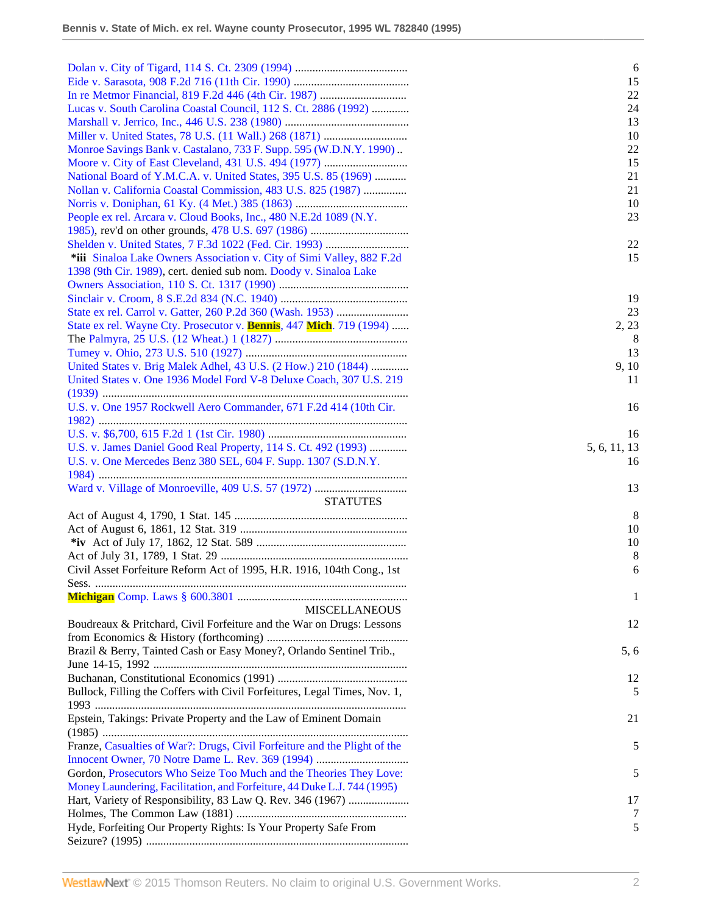|                                                                           | 6            |
|---------------------------------------------------------------------------|--------------|
|                                                                           | 15           |
|                                                                           | 22           |
| Lucas v. South Carolina Coastal Council, 112 S. Ct. 2886 (1992)           | 24           |
|                                                                           | 13           |
|                                                                           | 10           |
| Monroe Savings Bank v. Castalano, 733 F. Supp. 595 (W.D.N.Y. 1990)        | 22           |
|                                                                           | 15           |
| National Board of Y.M.C.A. v. United States, 395 U.S. 85 (1969)           | 21           |
| Nollan v. California Coastal Commission, 483 U.S. 825 (1987)              | 21           |
|                                                                           | 10           |
| People ex rel. Arcara v. Cloud Books, Inc., 480 N.E.2d 1089 (N.Y.         | 23           |
|                                                                           |              |
|                                                                           | 22           |
| *iii Sinaloa Lake Owners Association v. City of Simi Valley, 882 F.2d     | 15           |
| 1398 (9th Cir. 1989), cert. denied sub nom. Doody v. Sinaloa Lake         |              |
|                                                                           |              |
|                                                                           | 19           |
|                                                                           | 23           |
|                                                                           |              |
| State ex rel. Wayne Cty. Prosecutor v. Bennis, 447 Mich. 719 (1994)       | 2, 23        |
|                                                                           | 8            |
|                                                                           | 13           |
| United States v. Brig Malek Adhel, 43 U.S. (2 How.) 210 (1844)            | 9, 10        |
| United States v. One 1936 Model Ford V-8 Deluxe Coach, 307 U.S. 219       | 11           |
|                                                                           |              |
| U.S. v. One 1957 Rockwell Aero Commander, 671 F.2d 414 (10th Cir.         | 16           |
|                                                                           |              |
|                                                                           | 16           |
| U.S. v. James Daniel Good Real Property, 114 S. Ct. 492 (1993)            | 5, 6, 11, 13 |
| U.S. v. One Mercedes Benz 380 SEL, 604 F. Supp. 1307 (S.D.N.Y.            | 16           |
|                                                                           |              |
|                                                                           | 13           |
| <b>STATUTES</b>                                                           |              |
|                                                                           | 8            |
|                                                                           | 10           |
|                                                                           | 10           |
|                                                                           | 8            |
| Civil Asset Forfeiture Reform Act of 1995, H.R. 1916, 104th Cong., 1st    | 6            |
|                                                                           |              |
|                                                                           | 1            |
| <b>MISCELLANEOUS</b>                                                      |              |
| Boudreaux & Pritchard, Civil Forfeiture and the War on Drugs: Lessons     | 12           |
|                                                                           |              |
| Brazil & Berry, Tainted Cash or Easy Money?, Orlando Sentinel Trib.,      | 5, 6         |
|                                                                           |              |
|                                                                           | 12           |
| Bullock, Filling the Coffers with Civil Forfeitures, Legal Times, Nov. 1, | 5            |
|                                                                           |              |
| Epstein, Takings: Private Property and the Law of Eminent Domain          | 21           |
|                                                                           |              |
| Franze, Casualties of War?: Drugs, Civil Forfeiture and the Plight of the | 5            |
|                                                                           |              |
| Gordon, Prosecutors Who Seize Too Much and the Theories They Love:        | 5            |
| Money Laundering, Facilitation, and Forfeiture, 44 Duke L.J. 744 (1995)   |              |
| Hart, Variety of Responsibility, 83 Law Q. Rev. 346 (1967)                | 17           |
|                                                                           | 7            |
| Hyde, Forfeiting Our Property Rights: Is Your Property Safe From          | 5            |
|                                                                           |              |
|                                                                           |              |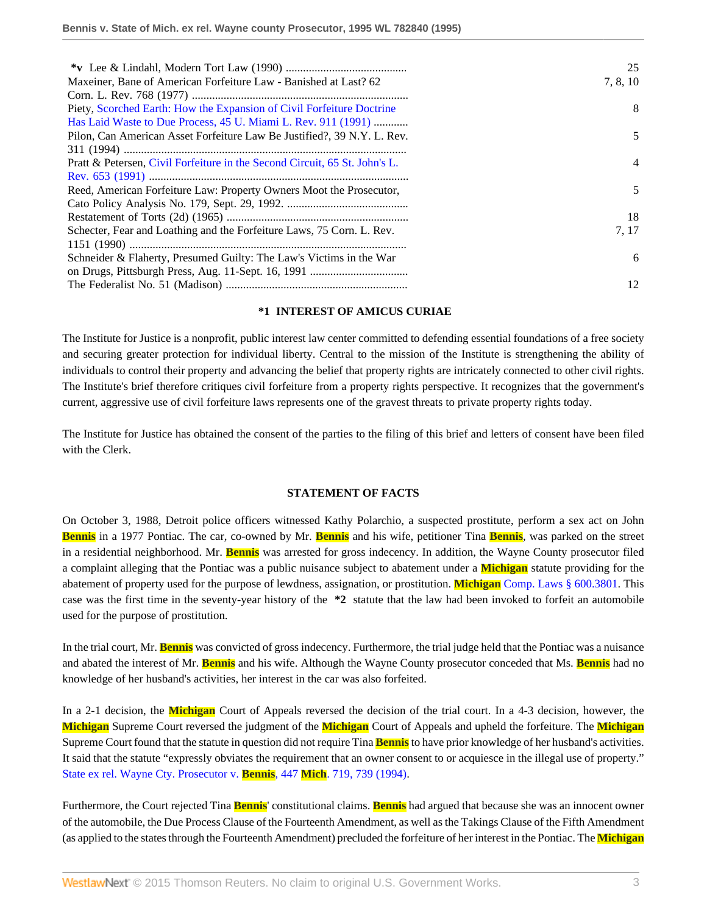|                                                                            | 25             |
|----------------------------------------------------------------------------|----------------|
| Maxeiner, Bane of American Forfeiture Law - Banished at Last? 62           | 7, 8, 10       |
|                                                                            |                |
| Piety, Scorched Earth: How the Expansion of Civil Forfeiture Doctrine      | 8              |
| Has Laid Waste to Due Process, 45 U. Miami L. Rev. 911 (1991)              |                |
| Pilon, Can American Asset Forfeiture Law Be Justified?, 39 N.Y. L. Rev.    | 5              |
|                                                                            |                |
| Pratt & Petersen, Civil Forfeiture in the Second Circuit, 65 St. John's L. | $\overline{4}$ |
|                                                                            |                |
| Reed, American Forfeiture Law: Property Owners Moot the Prosecutor,        | 5              |
|                                                                            |                |
|                                                                            | 18             |
| Schecter, Fear and Loathing and the Forfeiture Laws, 75 Corn. L. Rev.      | 7.17           |
|                                                                            |                |
| Schneider & Flaherty, Presumed Guilty: The Law's Victims in the War        | 6              |
|                                                                            |                |
|                                                                            | 12             |

### **\*1 INTEREST OF AMICUS CURIAE**

The Institute for Justice is a nonprofit, public interest law center committed to defending essential foundations of a free society and securing greater protection for individual liberty. Central to the mission of the Institute is strengthening the ability of individuals to control their property and advancing the belief that property rights are intricately connected to other civil rights. The Institute's brief therefore critiques civil forfeiture from a property rights perspective. It recognizes that the government's current, aggressive use of civil forfeiture laws represents one of the gravest threats to private property rights today.

The Institute for Justice has obtained the consent of the parties to the filing of this brief and letters of consent have been filed with the Clerk.

#### **STATEMENT OF FACTS**

On October 3, 1988, Detroit police officers witnessed Kathy Polarchio, a suspected prostitute, perform a sex act on John **Bennis** in a 1977 Pontiac. The car, co-owned by Mr. **Bennis** and his wife, petitioner Tina **Bennis**, was parked on the street in a residential neighborhood. Mr. **Bennis** was arrested for gross indecency. In addition, the Wayne County prosecutor filed a complaint alleging that the Pontiac was a public nuisance subject to abatement under a **Michigan** statute providing for the abatement of property used for the purpose of lewdness, assignation, or prostitution. **Michigan** [Comp. Laws § 600.3801](http://www.westlaw.com/Link/Document/FullText?findType=L&pubNum=1000043&cite=MIST600.3801&originatingDoc=Ib65c616a6be511d895a5e9b84a5a6ac7&refType=LQ&originationContext=document&vr=3.0&rs=cblt1.0&transitionType=DocumentItem&contextData=(sc.Search)). This case was the first time in the seventy-year history of the **\*2** statute that the law had been invoked to forfeit an automobile used for the purpose of prostitution.

In the trial court, Mr. **Bennis** was convicted of gross indecency. Furthermore, the trial judge held that the Pontiac was a nuisance and abated the interest of Mr. **Bennis** and his wife. Although the Wayne County prosecutor conceded that Ms. **Bennis** had no knowledge of her husband's activities, her interest in the car was also forfeited.

In a 2-1 decision, the **Michigan** Court of Appeals reversed the decision of the trial court. In a 4-3 decision, however, the **Michigan** Supreme Court reversed the judgment of the **Michigan** Court of Appeals and upheld the forfeiture. The **Michigan** Supreme Court found that the statute in question did not require Tina **Bennis** to have prior knowledge of her husband's activities. It said that the statute "expressly obviates the requirement that an owner consent to or acquiesce in the illegal use of property." [State ex rel. Wayne Cty. Prosecutor v.](http://www.westlaw.com/Link/Document/FullText?findType=Y&serNum=1995052393&pubNum=542&originatingDoc=Ib65c616a6be511d895a5e9b84a5a6ac7&refType=RP&fi=co_pp_sp_542_739&originationContext=document&vr=3.0&rs=cblt1.0&transitionType=DocumentItem&contextData=(sc.Search)#co_pp_sp_542_739) **Bennis**, 447 **Mich**. 719, 739 (1994).

Furthermore, the Court rejected Tina **Bennis**' constitutional claims. **Bennis** had argued that because she was an innocent owner of the automobile, the Due Process Clause of the Fourteenth Amendment, as well as the Takings Clause of the Fifth Amendment (as applied to the states through the Fourteenth Amendment) precluded the forfeiture of her interest in the Pontiac. The **Michigan**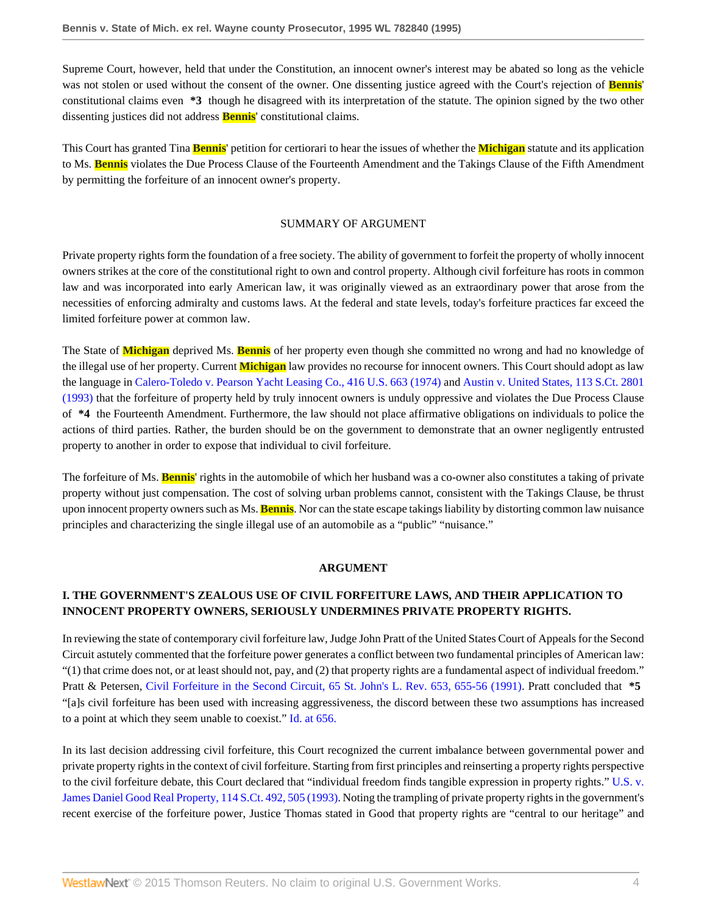Supreme Court, however, held that under the Constitution, an innocent owner's interest may be abated so long as the vehicle was not stolen or used without the consent of the owner. One dissenting justice agreed with the Court's rejection of **Bennis**' constitutional claims even **\*3** though he disagreed with its interpretation of the statute. The opinion signed by the two other dissenting justices did not address **Bennis**' constitutional claims.

This Court has granted Tina **Bennis**' petition for certiorari to hear the issues of whether the **Michigan** statute and its application to Ms. **Bennis** violates the Due Process Clause of the Fourteenth Amendment and the Takings Clause of the Fifth Amendment by permitting the forfeiture of an innocent owner's property.

### SUMMARY OF ARGUMENT

Private property rights form the foundation of a free society. The ability of government to forfeit the property of wholly innocent owners strikes at the core of the constitutional right to own and control property. Although civil forfeiture has roots in common law and was incorporated into early American law, it was originally viewed as an extraordinary power that arose from the necessities of enforcing admiralty and customs laws. At the federal and state levels, today's forfeiture practices far exceed the limited forfeiture power at common law.

The State of **Michigan** deprived Ms. **Bennis** of her property even though she committed no wrong and had no knowledge of the illegal use of her property. Current **Michigan** law provides no recourse for innocent owners. This Court should adopt as law the language in [Calero-Toledo v. Pearson Yacht Leasing Co., 416 U.S. 663 \(1974\)](http://www.westlaw.com/Link/Document/FullText?findType=Y&serNum=1974127188&pubNum=780&originatingDoc=Ib65c616a6be511d895a5e9b84a5a6ac7&refType=RP&originationContext=document&vr=3.0&rs=cblt1.0&transitionType=DocumentItem&contextData=(sc.Search)) and [Austin v. United States, 113 S.Ct. 2801](http://www.westlaw.com/Link/Document/FullText?findType=Y&serNum=1993130661&pubNum=708&originatingDoc=Ib65c616a6be511d895a5e9b84a5a6ac7&refType=RP&originationContext=document&vr=3.0&rs=cblt1.0&transitionType=DocumentItem&contextData=(sc.Search)) [\(1993\)](http://www.westlaw.com/Link/Document/FullText?findType=Y&serNum=1993130661&pubNum=708&originatingDoc=Ib65c616a6be511d895a5e9b84a5a6ac7&refType=RP&originationContext=document&vr=3.0&rs=cblt1.0&transitionType=DocumentItem&contextData=(sc.Search)) that the forfeiture of property held by truly innocent owners is unduly oppressive and violates the Due Process Clause of **\*4** the Fourteenth Amendment. Furthermore, the law should not place affirmative obligations on individuals to police the actions of third parties. Rather, the burden should be on the government to demonstrate that an owner negligently entrusted property to another in order to expose that individual to civil forfeiture.

The forfeiture of Ms. **Bennis**' rights in the automobile of which her husband was a co-owner also constitutes a taking of private property without just compensation. The cost of solving urban problems cannot, consistent with the Takings Clause, be thrust upon innocent property owners such as Ms. **Bennis**. Nor can the state escape takings liability by distorting common law nuisance principles and characterizing the single illegal use of an automobile as a "public" "nuisance."

#### **ARGUMENT**

# **I. THE GOVERNMENT'S ZEALOUS USE OF CIVIL FORFEITURE LAWS, AND THEIR APPLICATION TO INNOCENT PROPERTY OWNERS, SERIOUSLY UNDERMINES PRIVATE PROPERTY RIGHTS.**

In reviewing the state of contemporary civil forfeiture law, Judge John Pratt of the United States Court of Appeals for the Second Circuit astutely commented that the forfeiture power generates a conflict between two fundamental principles of American law: "(1) that crime does not, or at least should not, pay, and (2) that property rights are a fundamental aspect of individual freedom." Pratt & Petersen, [Civil Forfeiture in the Second Circuit, 65 St. John's L. Rev. 653, 655-56 \(1991\).](http://www.westlaw.com/Link/Document/FullText?findType=Y&serNum=0102192824&pubNum=1235&originatingDoc=Ib65c616a6be511d895a5e9b84a5a6ac7&refType=LR&fi=co_pp_sp_1235_655&originationContext=document&vr=3.0&rs=cblt1.0&transitionType=DocumentItem&contextData=(sc.Search)#co_pp_sp_1235_655) Pratt concluded that **\*5** "[a]s civil forfeiture has been used with increasing aggressiveness, the discord between these two assumptions has increased to a point at which they seem unable to coexist." [Id. at 656.](http://www.westlaw.com/Link/Document/FullText?findType=Y&serNum=0102192824&originatingDoc=Ib65c616a6be511d895a5e9b84a5a6ac7&refType=LR&originationContext=document&vr=3.0&rs=cblt1.0&transitionType=DocumentItem&contextData=(sc.Search))

In its last decision addressing civil forfeiture, this Court recognized the current imbalance between governmental power and private property rights in the context of civil forfeiture. Starting from first principles and reinserting a property rights perspective to the civil forfeiture debate, this Court declared that "individual freedom finds tangible expression in property rights." [U.S. v.](http://www.westlaw.com/Link/Document/FullText?findType=Y&serNum=1993232386&pubNum=708&originatingDoc=Ib65c616a6be511d895a5e9b84a5a6ac7&refType=RP&fi=co_pp_sp_708_505&originationContext=document&vr=3.0&rs=cblt1.0&transitionType=DocumentItem&contextData=(sc.Search)#co_pp_sp_708_505) [James Daniel Good Real Property, 114 S.Ct. 492, 505 \(1993\).](http://www.westlaw.com/Link/Document/FullText?findType=Y&serNum=1993232386&pubNum=708&originatingDoc=Ib65c616a6be511d895a5e9b84a5a6ac7&refType=RP&fi=co_pp_sp_708_505&originationContext=document&vr=3.0&rs=cblt1.0&transitionType=DocumentItem&contextData=(sc.Search)#co_pp_sp_708_505) Noting the trampling of private property rights in the government's recent exercise of the forfeiture power, Justice Thomas stated in Good that property rights are "central to our heritage" and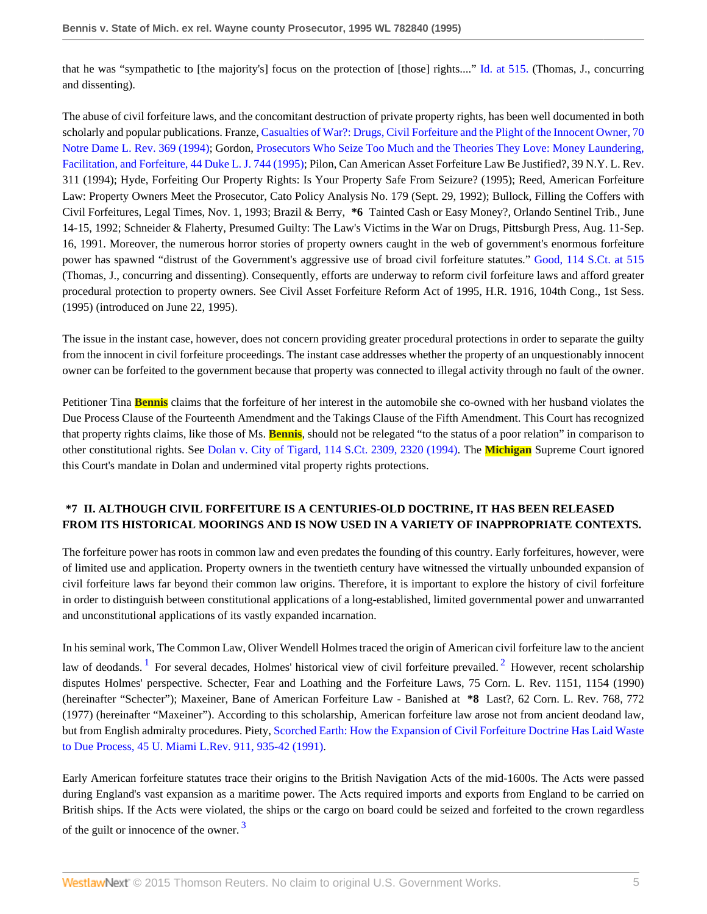that he was "sympathetic to [the majority's] focus on the protection of [those] rights...." [Id. at 515.](http://www.westlaw.com/Link/Document/FullText?findType=Y&serNum=1993232386&originatingDoc=Ib65c616a6be511d895a5e9b84a5a6ac7&refType=RP&originationContext=document&vr=3.0&rs=cblt1.0&transitionType=DocumentItem&contextData=(sc.Search)) (Thomas, J., concurring and dissenting).

The abuse of civil forfeiture laws, and the concomitant destruction of private property rights, has been well documented in both scholarly and popular publications. Franze, [Casualties of War?: Drugs, Civil Forfeiture and the Plight of the Innocent Owner, 70](http://www.westlaw.com/Link/Document/FullText?findType=Y&serNum=0105336039&pubNum=1211&originatingDoc=Ib65c616a6be511d895a5e9b84a5a6ac7&refType=LR&originationContext=document&vr=3.0&rs=cblt1.0&transitionType=DocumentItem&contextData=(sc.Search)) [Notre Dame L. Rev. 369 \(1994\)](http://www.westlaw.com/Link/Document/FullText?findType=Y&serNum=0105336039&pubNum=1211&originatingDoc=Ib65c616a6be511d895a5e9b84a5a6ac7&refType=LR&originationContext=document&vr=3.0&rs=cblt1.0&transitionType=DocumentItem&contextData=(sc.Search)); Gordon, [Prosecutors Who Seize Too Much and the Theories They Love: Money Laundering,](http://www.westlaw.com/Link/Document/FullText?findType=Y&serNum=0105415465&pubNum=1133&originatingDoc=Ib65c616a6be511d895a5e9b84a5a6ac7&refType=LR&originationContext=document&vr=3.0&rs=cblt1.0&transitionType=DocumentItem&contextData=(sc.Search)) [Facilitation, and Forfeiture, 44 Duke L. J. 744 \(1995\)](http://www.westlaw.com/Link/Document/FullText?findType=Y&serNum=0105415465&pubNum=1133&originatingDoc=Ib65c616a6be511d895a5e9b84a5a6ac7&refType=LR&originationContext=document&vr=3.0&rs=cblt1.0&transitionType=DocumentItem&contextData=(sc.Search)); Pilon, Can American Asset Forfeiture Law Be Justified?, 39 N.Y. L. Rev. 311 (1994); Hyde, Forfeiting Our Property Rights: Is Your Property Safe From Seizure? (1995); Reed, American Forfeiture Law: Property Owners Meet the Prosecutor, Cato Policy Analysis No. 179 (Sept. 29, 1992); Bullock, Filling the Coffers with Civil Forfeitures, Legal Times, Nov. 1, 1993; Brazil & Berry, **\*6** Tainted Cash or Easy Money?, Orlando Sentinel Trib., June 14-15, 1992; Schneider & Flaherty, Presumed Guilty: The Law's Victims in the War on Drugs, Pittsburgh Press, Aug. 11-Sep. 16, 1991. Moreover, the numerous horror stories of property owners caught in the web of government's enormous forfeiture power has spawned "distrust of the Government's aggressive use of broad civil forfeiture statutes." [Good, 114 S.Ct. at 515](http://www.westlaw.com/Link/Document/FullText?findType=Y&serNum=1993232386&pubNum=708&originatingDoc=Ib65c616a6be511d895a5e9b84a5a6ac7&refType=RP&fi=co_pp_sp_708_515&originationContext=document&vr=3.0&rs=cblt1.0&transitionType=DocumentItem&contextData=(sc.Search)#co_pp_sp_708_515) (Thomas, J., concurring and dissenting). Consequently, efforts are underway to reform civil forfeiture laws and afford greater procedural protection to property owners. See Civil Asset Forfeiture Reform Act of 1995, H.R. 1916, 104th Cong., 1st Sess. (1995) (introduced on June 22, 1995).

The issue in the instant case, however, does not concern providing greater procedural protections in order to separate the guilty from the innocent in civil forfeiture proceedings. The instant case addresses whether the property of an unquestionably innocent owner can be forfeited to the government because that property was connected to illegal activity through no fault of the owner.

Petitioner Tina **Bennis** claims that the forfeiture of her interest in the automobile she co-owned with her husband violates the Due Process Clause of the Fourteenth Amendment and the Takings Clause of the Fifth Amendment. This Court has recognized that property rights claims, like those of Ms. **Bennis**, should not be relegated "to the status of a poor relation" in comparison to other constitutional rights. See [Dolan v. City of Tigard, 114 S.Ct. 2309, 2320 \(1994\)](http://www.westlaw.com/Link/Document/FullText?findType=Y&serNum=1994135540&pubNum=708&originatingDoc=Ib65c616a6be511d895a5e9b84a5a6ac7&refType=RP&fi=co_pp_sp_708_2320&originationContext=document&vr=3.0&rs=cblt1.0&transitionType=DocumentItem&contextData=(sc.Search)#co_pp_sp_708_2320). The **Michigan** Supreme Court ignored this Court's mandate in Dolan and undermined vital property rights protections.

# **\*7 II. ALTHOUGH CIVIL FORFEITURE IS A CENTURIES-OLD DOCTRINE, IT HAS BEEN RELEASED FROM ITS HISTORICAL MOORINGS AND IS NOW USED IN A VARIETY OF INAPPROPRIATE CONTEXTS.**

The forfeiture power has roots in common law and even predates the founding of this country. Early forfeitures, however, were of limited use and application. Property owners in the twentieth century have witnessed the virtually unbounded expansion of civil forfeiture laws far beyond their common law origins. Therefore, it is important to explore the history of civil forfeiture in order to distinguish between constitutional applications of a long-established, limited governmental power and unwarranted and unconstitutional applications of its vastly expanded incarnation.

<span id="page-4-1"></span><span id="page-4-0"></span>In his seminal work, The Common Law, Oliver Wendell Holmes traced the origin of American civil forfeiture law to the ancient law of deodands. <sup>[1](#page-10-0)</sup> For several decades, Holmes' historical view of civil forfeiture prevailed. <sup>[2](#page-10-1)</sup> However, recent scholarship disputes Holmes' perspective. Schecter, Fear and Loathing and the Forfeiture Laws, 75 Corn. L. Rev. 1151, 1154 (1990) (hereinafter "Schecter"); Maxeiner, Bane of American Forfeiture Law - Banished at **\*8** Last?, 62 Corn. L. Rev. 768, 772 (1977) (hereinafter "Maxeiner"). According to this scholarship, American forfeiture law arose not from ancient deodand law, but from English admiralty procedures. Piety, [Scorched Earth: How the Expansion of Civil Forfeiture Doctrine Has Laid Waste](http://www.westlaw.com/Link/Document/FullText?findType=Y&serNum=0101148856&pubNum=3194&originatingDoc=Ib65c616a6be511d895a5e9b84a5a6ac7&refType=LR&fi=co_pp_sp_3194_935&originationContext=document&vr=3.0&rs=cblt1.0&transitionType=DocumentItem&contextData=(sc.Search)#co_pp_sp_3194_935) [to Due Process, 45 U. Miami L.Rev. 911, 935-42 \(1991\)](http://www.westlaw.com/Link/Document/FullText?findType=Y&serNum=0101148856&pubNum=3194&originatingDoc=Ib65c616a6be511d895a5e9b84a5a6ac7&refType=LR&fi=co_pp_sp_3194_935&originationContext=document&vr=3.0&rs=cblt1.0&transitionType=DocumentItem&contextData=(sc.Search)#co_pp_sp_3194_935).

<span id="page-4-2"></span>Early American forfeiture statutes trace their origins to the British Navigation Acts of the mid-1600s. The Acts were passed during England's vast expansion as a maritime power. The Acts required imports and exports from England to be carried on British ships. If the Acts were violated, the ships or the cargo on board could be seized and forfeited to the crown regardless of the guilt or innocence of the owner.<sup>[3](#page-10-2)</sup>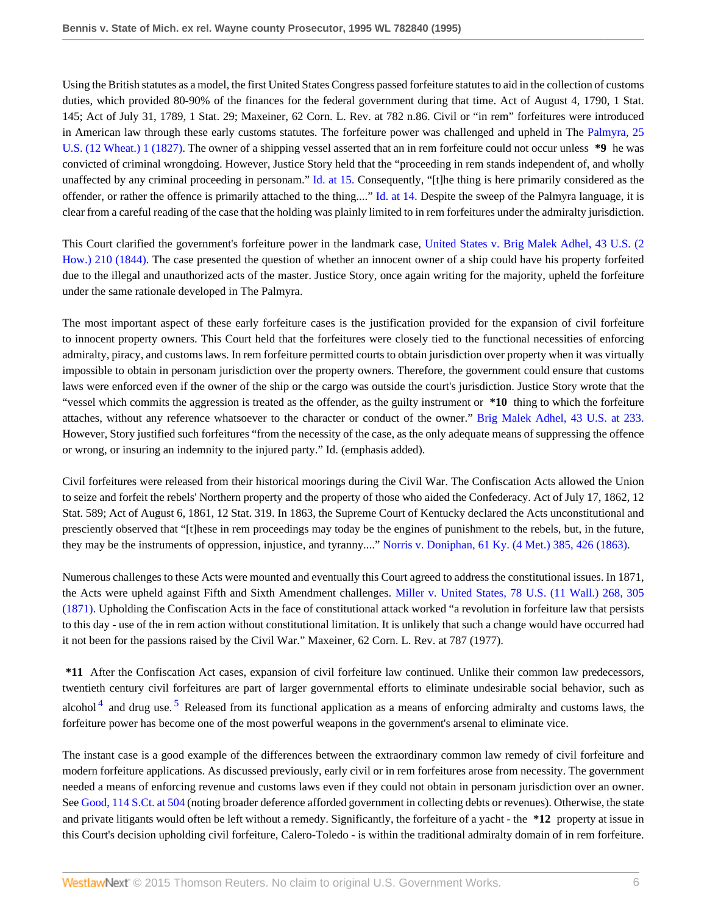Using the British statutes as a model, the first United States Congress passed forfeiture statutes to aid in the collection of customs duties, which provided 80-90% of the finances for the federal government during that time. Act of August 4, 1790, 1 Stat. 145; Act of July 31, 1789, 1 Stat. 29; Maxeiner, 62 Corn. L. Rev. at 782 n.86. Civil or "in rem" forfeitures were introduced in American law through these early customs statutes. The forfeiture power was challenged and upheld in The [Palmyra, 25](http://www.westlaw.com/Link/Document/FullText?findType=Y&serNum=1800105705&pubNum=780&originatingDoc=Ib65c616a6be511d895a5e9b84a5a6ac7&refType=RP&originationContext=document&vr=3.0&rs=cblt1.0&transitionType=DocumentItem&contextData=(sc.Search)) [U.S. \(12 Wheat.\) 1 \(1827\)](http://www.westlaw.com/Link/Document/FullText?findType=Y&serNum=1800105705&pubNum=780&originatingDoc=Ib65c616a6be511d895a5e9b84a5a6ac7&refType=RP&originationContext=document&vr=3.0&rs=cblt1.0&transitionType=DocumentItem&contextData=(sc.Search)). The owner of a shipping vessel asserted that an in rem forfeiture could not occur unless **\*9** he was convicted of criminal wrongdoing. However, Justice Story held that the "proceeding in rem stands independent of, and wholly unaffected by any criminal proceeding in personam." [Id. at 15.](http://www.westlaw.com/Link/Document/FullText?findType=Y&serNum=1800105705&originatingDoc=Ib65c616a6be511d895a5e9b84a5a6ac7&refType=RP&originationContext=document&vr=3.0&rs=cblt1.0&transitionType=DocumentItem&contextData=(sc.Search)) Consequently, "[t]he thing is here primarily considered as the offender, or rather the offence is primarily attached to the thing...." [Id. at 14.](http://www.westlaw.com/Link/Document/FullText?findType=Y&serNum=1800105705&originatingDoc=Ib65c616a6be511d895a5e9b84a5a6ac7&refType=RP&originationContext=document&vr=3.0&rs=cblt1.0&transitionType=DocumentItem&contextData=(sc.Search)) Despite the sweep of the Palmyra language, it is clear from a careful reading of the case that the holding was plainly limited to in rem forfeitures under the admiralty jurisdiction.

This Court clarified the government's forfeiture power in the landmark case, [United States v. Brig Malek Adhel, 43 U.S. \(2](http://www.westlaw.com/Link/Document/FullText?findType=Y&serNum=1800105005&pubNum=780&originatingDoc=Ib65c616a6be511d895a5e9b84a5a6ac7&refType=RP&originationContext=document&vr=3.0&rs=cblt1.0&transitionType=DocumentItem&contextData=(sc.Search)) [How.\) 210 \(1844\).](http://www.westlaw.com/Link/Document/FullText?findType=Y&serNum=1800105005&pubNum=780&originatingDoc=Ib65c616a6be511d895a5e9b84a5a6ac7&refType=RP&originationContext=document&vr=3.0&rs=cblt1.0&transitionType=DocumentItem&contextData=(sc.Search)) The case presented the question of whether an innocent owner of a ship could have his property forfeited due to the illegal and unauthorized acts of the master. Justice Story, once again writing for the majority, upheld the forfeiture under the same rationale developed in The Palmyra.

The most important aspect of these early forfeiture cases is the justification provided for the expansion of civil forfeiture to innocent property owners. This Court held that the forfeitures were closely tied to the functional necessities of enforcing admiralty, piracy, and customs laws. In rem forfeiture permitted courts to obtain jurisdiction over property when it was virtually impossible to obtain in personam jurisdiction over the property owners. Therefore, the government could ensure that customs laws were enforced even if the owner of the ship or the cargo was outside the court's jurisdiction. Justice Story wrote that the "vessel which commits the aggression is treated as the offender, as the guilty instrument or **\*10** thing to which the forfeiture attaches, without any reference whatsoever to the character or conduct of the owner." [Brig Malek Adhel, 43 U.S. at 233.](http://www.westlaw.com/Link/Document/FullText?findType=Y&serNum=1800105005&pubNum=780&originatingDoc=Ib65c616a6be511d895a5e9b84a5a6ac7&refType=RP&fi=co_pp_sp_780_233&originationContext=document&vr=3.0&rs=cblt1.0&transitionType=DocumentItem&contextData=(sc.Search)#co_pp_sp_780_233) However, Story justified such forfeitures "from the necessity of the case, as the only adequate means of suppressing the offence or wrong, or insuring an indemnity to the injured party." Id. (emphasis added).

Civil forfeitures were released from their historical moorings during the Civil War. The Confiscation Acts allowed the Union to seize and forfeit the rebels' Northern property and the property of those who aided the Confederacy. Act of July 17, 1862, 12 Stat. 589; Act of August 6, 1861, 12 Stat. 319. In 1863, the Supreme Court of Kentucky declared the Acts unconstitutional and presciently observed that "[t]hese in rem proceedings may today be the engines of punishment to the rebels, but, in the future, they may be the instruments of oppression, injustice, and tyranny...." [Norris v. Doniphan, 61 Ky. \(4 Met.\) 385, 426 \(1863\)](http://www.westlaw.com/Link/Document/FullText?findType=Y&serNum=1863007459&pubNum=465&originatingDoc=Ib65c616a6be511d895a5e9b84a5a6ac7&refType=RP&fi=co_pp_sp_465_426&originationContext=document&vr=3.0&rs=cblt1.0&transitionType=DocumentItem&contextData=(sc.Search)#co_pp_sp_465_426).

Numerous challenges to these Acts were mounted and eventually this Court agreed to address the constitutional issues. In 1871, the Acts were upheld against Fifth and Sixth Amendment challenges. [Miller v. United States, 78 U.S. \(11 Wall.\) 268, 305](http://www.westlaw.com/Link/Document/FullText?findType=Y&serNum=1870105251&pubNum=780&originatingDoc=Ib65c616a6be511d895a5e9b84a5a6ac7&refType=RP&fi=co_pp_sp_780_305&originationContext=document&vr=3.0&rs=cblt1.0&transitionType=DocumentItem&contextData=(sc.Search)#co_pp_sp_780_305) [\(1871\).](http://www.westlaw.com/Link/Document/FullText?findType=Y&serNum=1870105251&pubNum=780&originatingDoc=Ib65c616a6be511d895a5e9b84a5a6ac7&refType=RP&fi=co_pp_sp_780_305&originationContext=document&vr=3.0&rs=cblt1.0&transitionType=DocumentItem&contextData=(sc.Search)#co_pp_sp_780_305) Upholding the Confiscation Acts in the face of constitutional attack worked "a revolution in forfeiture law that persists to this day - use of the in rem action without constitutional limitation. It is unlikely that such a change would have occurred had it not been for the passions raised by the Civil War." Maxeiner, 62 Corn. L. Rev. at 787 (1977).

<span id="page-5-1"></span><span id="page-5-0"></span>**\*11** After the Confiscation Act cases, expansion of civil forfeiture law continued. Unlike their common law predecessors, twentieth century civil forfeitures are part of larger governmental efforts to eliminate undesirable social behavior, such as alcohol<sup>[4](#page-10-3)</sup> and drug use.<sup>[5](#page-10-4)</sup> Released from its functional application as a means of enforcing admiralty and customs laws, the forfeiture power has become one of the most powerful weapons in the government's arsenal to eliminate vice.

The instant case is a good example of the differences between the extraordinary common law remedy of civil forfeiture and modern forfeiture applications. As discussed previously, early civil or in rem forfeitures arose from necessity. The government needed a means of enforcing revenue and customs laws even if they could not obtain in personam jurisdiction over an owner. See [Good, 114 S.Ct. at 504](http://www.westlaw.com/Link/Document/FullText?findType=Y&serNum=1993232386&pubNum=708&originatingDoc=Ib65c616a6be511d895a5e9b84a5a6ac7&refType=RP&fi=co_pp_sp_708_504&originationContext=document&vr=3.0&rs=cblt1.0&transitionType=DocumentItem&contextData=(sc.Search)#co_pp_sp_708_504) (noting broader deference afforded government in collecting debts or revenues). Otherwise, the state and private litigants would often be left without a remedy. Significantly, the forfeiture of a yacht - the **\*12** property at issue in this Court's decision upholding civil forfeiture, Calero-Toledo - is within the traditional admiralty domain of in rem forfeiture.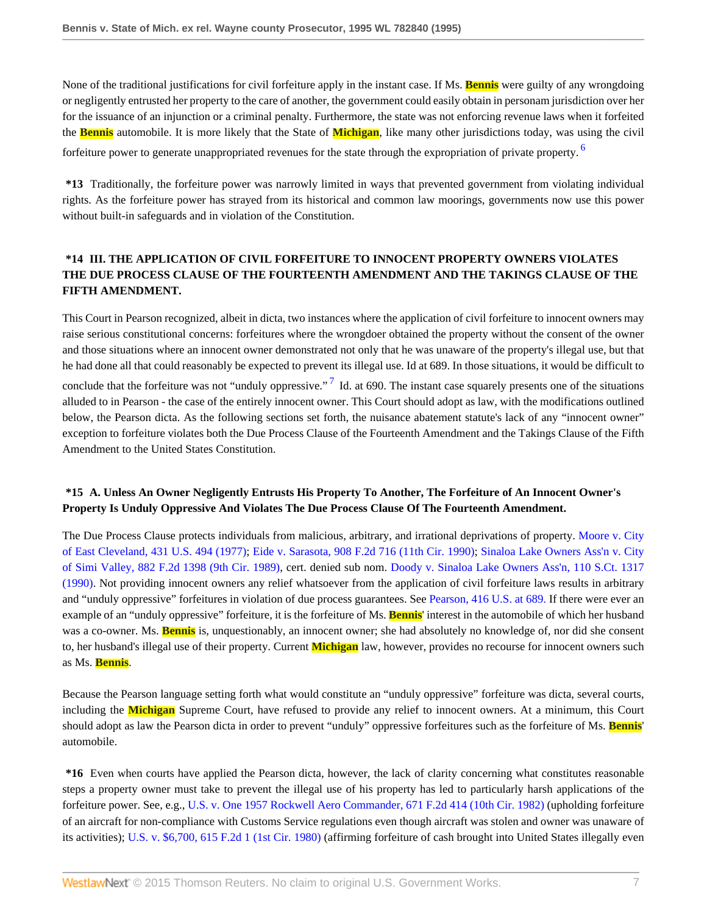None of the traditional justifications for civil forfeiture apply in the instant case. If Ms. **Bennis** were guilty of any wrongdoing or negligently entrusted her property to the care of another, the government could easily obtain in personam jurisdiction over her for the issuance of an injunction or a criminal penalty. Furthermore, the state was not enforcing revenue laws when it forfeited the **Bennis** automobile. It is more likely that the State of **Michigan**, like many other jurisdictions today, was using the civil forfeiture power to generate unappropriated revenues for the state through the expropriation of private property. <sup>[6](#page-10-5)</sup>

<span id="page-6-0"></span>**\*13** Traditionally, the forfeiture power was narrowly limited in ways that prevented government from violating individual rights. As the forfeiture power has strayed from its historical and common law moorings, governments now use this power without built-in safeguards and in violation of the Constitution.

# **\*14 III. THE APPLICATION OF CIVIL FORFEITURE TO INNOCENT PROPERTY OWNERS VIOLATES THE DUE PROCESS CLAUSE OF THE FOURTEENTH AMENDMENT AND THE TAKINGS CLAUSE OF THE FIFTH AMENDMENT.**

<span id="page-6-1"></span>This Court in Pearson recognized, albeit in dicta, two instances where the application of civil forfeiture to innocent owners may raise serious constitutional concerns: forfeitures where the wrongdoer obtained the property without the consent of the owner and those situations where an innocent owner demonstrated not only that he was unaware of the property's illegal use, but that he had done all that could reasonably be expected to prevent its illegal use. Id at 689. In those situations, it would be difficult to conclude that the forfeiture was not "unduly oppressive."<sup>[7](#page-10-6)</sup> Id. at 690. The instant case squarely presents one of the situations alluded to in Pearson - the case of the entirely innocent owner. This Court should adopt as law, with the modifications outlined below, the Pearson dicta. As the following sections set forth, the nuisance abatement statute's lack of any "innocent owner" exception to forfeiture violates both the Due Process Clause of the Fourteenth Amendment and the Takings Clause of the Fifth Amendment to the United States Constitution.

# **\*15 A. Unless An Owner Negligently Entrusts His Property To Another, The Forfeiture of An Innocent Owner's Property Is Unduly Oppressive And Violates The Due Process Clause Of The Fourteenth Amendment.**

The Due Process Clause protects individuals from malicious, arbitrary, and irrational deprivations of property. [Moore v. City](http://www.westlaw.com/Link/Document/FullText?findType=Y&serNum=1977118791&pubNum=780&originatingDoc=Ib65c616a6be511d895a5e9b84a5a6ac7&refType=RP&originationContext=document&vr=3.0&rs=cblt1.0&transitionType=DocumentItem&contextData=(sc.Search)) [of East Cleveland, 431 U.S. 494 \(1977\);](http://www.westlaw.com/Link/Document/FullText?findType=Y&serNum=1977118791&pubNum=780&originatingDoc=Ib65c616a6be511d895a5e9b84a5a6ac7&refType=RP&originationContext=document&vr=3.0&rs=cblt1.0&transitionType=DocumentItem&contextData=(sc.Search)) [Eide v. Sarasota, 908 F.2d 716 \(11th Cir. 1990\)](http://www.westlaw.com/Link/Document/FullText?findType=Y&serNum=1990111698&pubNum=350&originatingDoc=Ib65c616a6be511d895a5e9b84a5a6ac7&refType=RP&originationContext=document&vr=3.0&rs=cblt1.0&transitionType=DocumentItem&contextData=(sc.Search)); [Sinaloa Lake Owners Ass'n v. City](http://www.westlaw.com/Link/Document/FullText?findType=Y&serNum=1989118626&pubNum=350&originatingDoc=Ib65c616a6be511d895a5e9b84a5a6ac7&refType=RP&originationContext=document&vr=3.0&rs=cblt1.0&transitionType=DocumentItem&contextData=(sc.Search)) [of Simi Valley, 882 F.2d 1398 \(9th Cir. 1989\),](http://www.westlaw.com/Link/Document/FullText?findType=Y&serNum=1989118626&pubNum=350&originatingDoc=Ib65c616a6be511d895a5e9b84a5a6ac7&refType=RP&originationContext=document&vr=3.0&rs=cblt1.0&transitionType=DocumentItem&contextData=(sc.Search)) cert. denied sub nom. [Doody v. Sinaloa Lake Owners Ass'n, 110 S.Ct. 1317](http://www.westlaw.com/Link/Document/FullText?findType=Y&serNum=1989140957&pubNum=708&originatingDoc=Ib65c616a6be511d895a5e9b84a5a6ac7&refType=RP&originationContext=document&vr=3.0&rs=cblt1.0&transitionType=DocumentItem&contextData=(sc.Search)) [\(1990\).](http://www.westlaw.com/Link/Document/FullText?findType=Y&serNum=1989140957&pubNum=708&originatingDoc=Ib65c616a6be511d895a5e9b84a5a6ac7&refType=RP&originationContext=document&vr=3.0&rs=cblt1.0&transitionType=DocumentItem&contextData=(sc.Search)) Not providing innocent owners any relief whatsoever from the application of civil forfeiture laws results in arbitrary and "unduly oppressive" forfeitures in violation of due process guarantees. See [Pearson, 416 U.S. at 689.](http://www.westlaw.com/Link/Document/FullText?findType=Y&serNum=1974127188&pubNum=780&originatingDoc=Ib65c616a6be511d895a5e9b84a5a6ac7&refType=RP&fi=co_pp_sp_780_689&originationContext=document&vr=3.0&rs=cblt1.0&transitionType=DocumentItem&contextData=(sc.Search)#co_pp_sp_780_689) If there were ever an example of an "unduly oppressive" forfeiture, it is the forfeiture of Ms. **Bennis**' interest in the automobile of which her husband was a co-owner. Ms. **Bennis** is, unquestionably, an innocent owner; she had absolutely no knowledge of, nor did she consent to, her husband's illegal use of their property. Current **Michigan** law, however, provides no recourse for innocent owners such as Ms. **Bennis**.

Because the Pearson language setting forth what would constitute an "unduly oppressive" forfeiture was dicta, several courts, including the **Michigan** Supreme Court, have refused to provide any relief to innocent owners. At a minimum, this Court should adopt as law the Pearson dicta in order to prevent "unduly" oppressive forfeitures such as the forfeiture of Ms. **Bennis**' automobile.

**\*16** Even when courts have applied the Pearson dicta, however, the lack of clarity concerning what constitutes reasonable steps a property owner must take to prevent the illegal use of his property has led to particularly harsh applications of the forfeiture power. See, e.g., [U.S. v. One 1957 Rockwell Aero Commander, 671 F.2d 414 \(10th Cir. 1982\)](http://www.westlaw.com/Link/Document/FullText?findType=Y&serNum=1982108223&pubNum=350&originatingDoc=Ib65c616a6be511d895a5e9b84a5a6ac7&refType=RP&originationContext=document&vr=3.0&rs=cblt1.0&transitionType=DocumentItem&contextData=(sc.Search)) (upholding forfeiture of an aircraft for non-compliance with Customs Service regulations even though aircraft was stolen and owner was unaware of its activities); [U.S. v. \\$6,700, 615 F.2d 1 \(1st Cir. 1980\)](http://www.westlaw.com/Link/Document/FullText?findType=Y&serNum=1980106689&pubNum=350&originatingDoc=Ib65c616a6be511d895a5e9b84a5a6ac7&refType=RP&originationContext=document&vr=3.0&rs=cblt1.0&transitionType=DocumentItem&contextData=(sc.Search)) (affirming forfeiture of cash brought into United States illegally even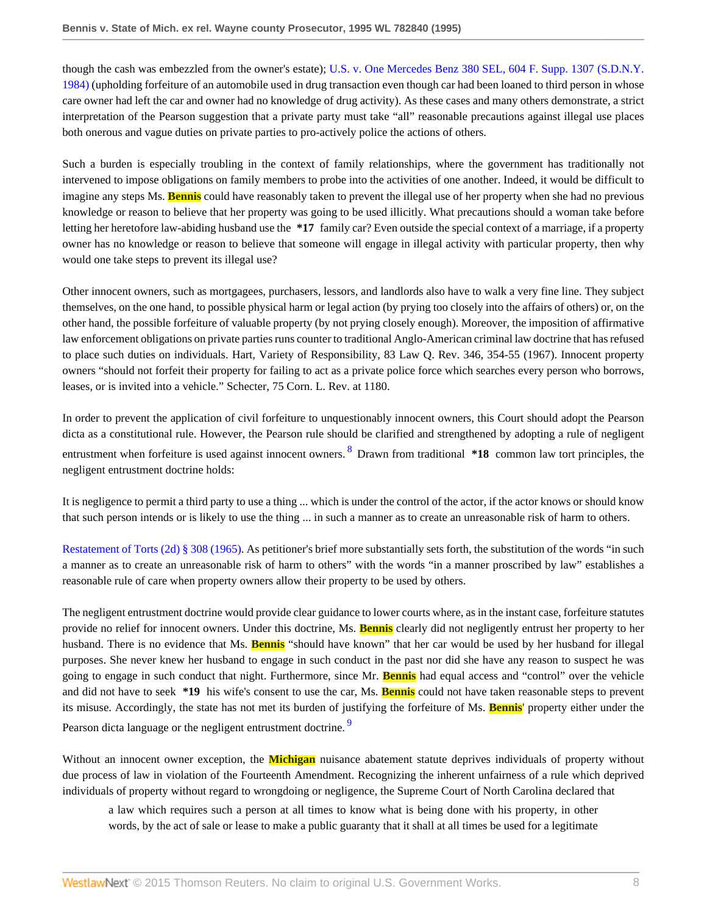though the cash was embezzled from the owner's estate); [U.S. v. One Mercedes Benz 380 SEL, 604 F. Supp. 1307 \(S.D.N.Y.](http://www.westlaw.com/Link/Document/FullText?findType=Y&serNum=1985116373&pubNum=345&originatingDoc=Ib65c616a6be511d895a5e9b84a5a6ac7&refType=RP&originationContext=document&vr=3.0&rs=cblt1.0&transitionType=DocumentItem&contextData=(sc.Search)) [1984\)](http://www.westlaw.com/Link/Document/FullText?findType=Y&serNum=1985116373&pubNum=345&originatingDoc=Ib65c616a6be511d895a5e9b84a5a6ac7&refType=RP&originationContext=document&vr=3.0&rs=cblt1.0&transitionType=DocumentItem&contextData=(sc.Search)) (upholding forfeiture of an automobile used in drug transaction even though car had been loaned to third person in whose care owner had left the car and owner had no knowledge of drug activity). As these cases and many others demonstrate, a strict interpretation of the Pearson suggestion that a private party must take "all" reasonable precautions against illegal use places both onerous and vague duties on private parties to pro-actively police the actions of others.

Such a burden is especially troubling in the context of family relationships, where the government has traditionally not intervened to impose obligations on family members to probe into the activities of one another. Indeed, it would be difficult to imagine any steps Ms. **Bennis** could have reasonably taken to prevent the illegal use of her property when she had no previous knowledge or reason to believe that her property was going to be used illicitly. What precautions should a woman take before letting her heretofore law-abiding husband use the **\*17** family car? Even outside the special context of a marriage, if a property owner has no knowledge or reason to believe that someone will engage in illegal activity with particular property, then why would one take steps to prevent its illegal use?

Other innocent owners, such as mortgagees, purchasers, lessors, and landlords also have to walk a very fine line. They subject themselves, on the one hand, to possible physical harm or legal action (by prying too closely into the affairs of others) or, on the other hand, the possible forfeiture of valuable property (by not prying closely enough). Moreover, the imposition of affirmative law enforcement obligations on private parties runs counter to traditional Anglo-American criminal law doctrine that has refused to place such duties on individuals. Hart, Variety of Responsibility, 83 Law Q. Rev. 346, 354-55 (1967). Innocent property owners "should not forfeit their property for failing to act as a private police force which searches every person who borrows, leases, or is invited into a vehicle." Schecter, 75 Corn. L. Rev. at 1180.

<span id="page-7-0"></span>In order to prevent the application of civil forfeiture to unquestionably innocent owners, this Court should adopt the Pearson dicta as a constitutional rule. However, the Pearson rule should be clarified and strengthened by adopting a rule of negligent entrustment when forfeiture is used against innocent owners. <sup>[8](#page-10-7)</sup> Drawn from traditional **\*18** common law tort principles, the negligent entrustment doctrine holds:

It is negligence to permit a third party to use a thing ... which is under the control of the actor, if the actor knows or should know that such person intends or is likely to use the thing ... in such a manner as to create an unreasonable risk of harm to others.

[Restatement of Torts \(2d\) § 308 \(1965\)](http://www.westlaw.com/Link/Document/FullText?findType=Y&serNum=0290694041&pubNum=0101577&originatingDoc=Ib65c616a6be511d895a5e9b84a5a6ac7&refType=TS&originationContext=document&vr=3.0&rs=cblt1.0&transitionType=DocumentItem&contextData=(sc.Search)). As petitioner's brief more substantially sets forth, the substitution of the words "in such a manner as to create an unreasonable risk of harm to others" with the words "in a manner proscribed by law" establishes a reasonable rule of care when property owners allow their property to be used by others.

The negligent entrustment doctrine would provide clear guidance to lower courts where, as in the instant case, forfeiture statutes provide no relief for innocent owners. Under this doctrine, Ms. **Bennis** clearly did not negligently entrust her property to her husband. There is no evidence that Ms. **Bennis** "should have known" that her car would be used by her husband for illegal purposes. She never knew her husband to engage in such conduct in the past nor did she have any reason to suspect he was going to engage in such conduct that night. Furthermore, since Mr. **Bennis** had equal access and "control" over the vehicle and did not have to seek **\*19** his wife's consent to use the car, Ms. **Bennis** could not have taken reasonable steps to prevent its misuse. Accordingly, the state has not met its burden of justifying the forfeiture of Ms. **Bennis**' property either under the Pearson dicta language or the negligent entrustment doctrine.

Without an innocent owner exception, the **Michigan** nuisance abatement statute deprives individuals of property without due process of law in violation of the Fourteenth Amendment. Recognizing the inherent unfairness of a rule which deprived individuals of property without regard to wrongdoing or negligence, the Supreme Court of North Carolina declared that

<span id="page-7-1"></span>a law which requires such a person at all times to know what is being done with his property, in other words, by the act of sale or lease to make a public guaranty that it shall at all times be used for a legitimate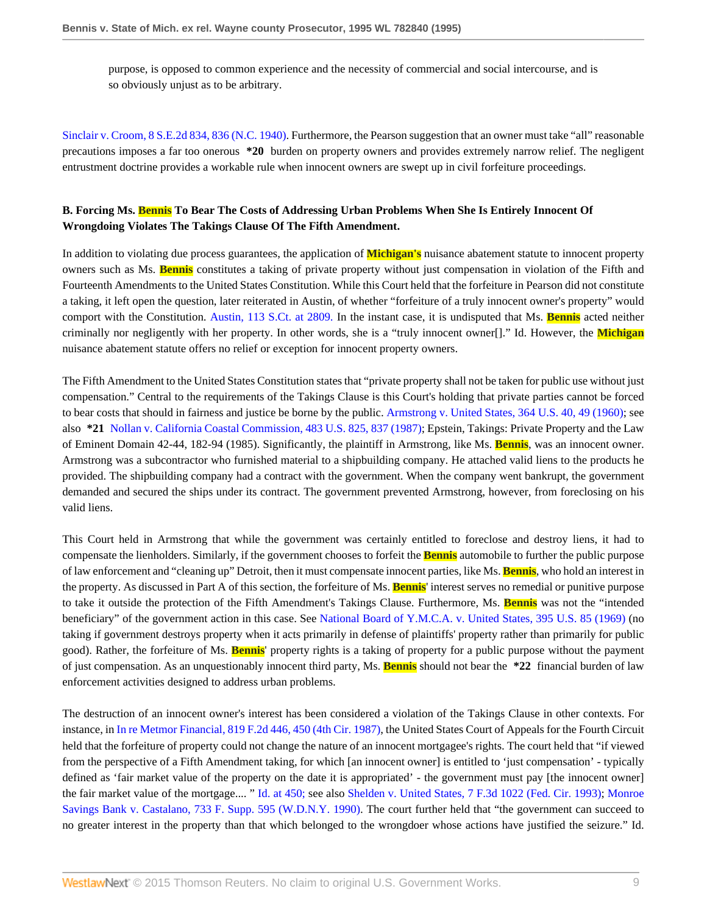purpose, is opposed to common experience and the necessity of commercial and social intercourse, and is so obviously unjust as to be arbitrary.

[Sinclair v. Croom, 8 S.E.2d 834, 836 \(N.C. 1940\)](http://www.westlaw.com/Link/Document/FullText?findType=Y&serNum=1940104698&pubNum=711&originatingDoc=Ib65c616a6be511d895a5e9b84a5a6ac7&refType=RP&fi=co_pp_sp_711_836&originationContext=document&vr=3.0&rs=cblt1.0&transitionType=DocumentItem&contextData=(sc.Search)#co_pp_sp_711_836). Furthermore, the Pearson suggestion that an owner must take "all" reasonable precautions imposes a far too onerous **\*20** burden on property owners and provides extremely narrow relief. The negligent entrustment doctrine provides a workable rule when innocent owners are swept up in civil forfeiture proceedings.

## **B. Forcing Ms. Bennis To Bear The Costs of Addressing Urban Problems When She Is Entirely Innocent Of Wrongdoing Violates The Takings Clause Of The Fifth Amendment.**

In addition to violating due process guarantees, the application of **Michigan's** nuisance abatement statute to innocent property owners such as Ms. **Bennis** constitutes a taking of private property without just compensation in violation of the Fifth and Fourteenth Amendments to the United States Constitution. While this Court held that the forfeiture in Pearson did not constitute a taking, it left open the question, later reiterated in Austin, of whether "forfeiture of a truly innocent owner's property" would comport with the Constitution. [Austin, 113 S.Ct. at 2809.](http://www.westlaw.com/Link/Document/FullText?findType=Y&serNum=1993130661&pubNum=708&originatingDoc=Ib65c616a6be511d895a5e9b84a5a6ac7&refType=RP&fi=co_pp_sp_708_2809&originationContext=document&vr=3.0&rs=cblt1.0&transitionType=DocumentItem&contextData=(sc.Search)#co_pp_sp_708_2809) In the instant case, it is undisputed that Ms. **Bennis** acted neither criminally nor negligently with her property. In other words, she is a "truly innocent owner[]." Id. However, the **Michigan** nuisance abatement statute offers no relief or exception for innocent property owners.

The Fifth Amendment to the United States Constitution states that "private property shall not be taken for public use without just compensation." Central to the requirements of the Takings Clause is this Court's holding that private parties cannot be forced to bear costs that should in fairness and justice be borne by the public. [Armstrong v. United States, 364 U.S. 40, 49 \(1960\)](http://www.westlaw.com/Link/Document/FullText?findType=Y&serNum=1960122571&pubNum=780&originatingDoc=Ib65c616a6be511d895a5e9b84a5a6ac7&refType=RP&fi=co_pp_sp_780_49&originationContext=document&vr=3.0&rs=cblt1.0&transitionType=DocumentItem&contextData=(sc.Search)#co_pp_sp_780_49); see also **\*21** [Nollan v. California Coastal Commission, 483 U.S. 825, 837 \(1987\)](http://www.westlaw.com/Link/Document/FullText?findType=Y&serNum=1987080057&pubNum=780&originatingDoc=Ib65c616a6be511d895a5e9b84a5a6ac7&refType=RP&fi=co_pp_sp_780_837&originationContext=document&vr=3.0&rs=cblt1.0&transitionType=DocumentItem&contextData=(sc.Search)#co_pp_sp_780_837); Epstein, Takings: Private Property and the Law of Eminent Domain 42-44, 182-94 (1985). Significantly, the plaintiff in Armstrong, like Ms. **Bennis**, was an innocent owner. Armstrong was a subcontractor who furnished material to a shipbuilding company. He attached valid liens to the products he provided. The shipbuilding company had a contract with the government. When the company went bankrupt, the government demanded and secured the ships under its contract. The government prevented Armstrong, however, from foreclosing on his valid liens.

This Court held in Armstrong that while the government was certainly entitled to foreclose and destroy liens, it had to compensate the lienholders. Similarly, if the government chooses to forfeit the **Bennis** automobile to further the public purpose of law enforcement and "cleaning up" Detroit, then it must compensate innocent parties, like Ms. **Bennis**, who hold an interest in the property. As discussed in Part A of this section, the forfeiture of Ms. **Bennis**' interest serves no remedial or punitive purpose to take it outside the protection of the Fifth Amendment's Takings Clause. Furthermore, Ms. **Bennis** was not the "intended beneficiary" of the government action in this case. See [National Board of Y.M.C.A. v. United States, 395 U.S. 85 \(1969\)](http://www.westlaw.com/Link/Document/FullText?findType=Y&serNum=1969132985&pubNum=780&originatingDoc=Ib65c616a6be511d895a5e9b84a5a6ac7&refType=RP&originationContext=document&vr=3.0&rs=cblt1.0&transitionType=DocumentItem&contextData=(sc.Search)) (no taking if government destroys property when it acts primarily in defense of plaintiffs' property rather than primarily for public good). Rather, the forfeiture of Ms. **Bennis**' property rights is a taking of property for a public purpose without the payment of just compensation. As an unquestionably innocent third party, Ms. **Bennis** should not bear the **\*22** financial burden of law enforcement activities designed to address urban problems.

The destruction of an innocent owner's interest has been considered a violation of the Takings Clause in other contexts. For instance, in [In re Metmor Financial, 819 F.2d 446, 450 \(4th Cir. 1987\),](http://www.westlaw.com/Link/Document/FullText?findType=Y&serNum=1987064062&pubNum=350&originatingDoc=Ib65c616a6be511d895a5e9b84a5a6ac7&refType=RP&fi=co_pp_sp_350_450&originationContext=document&vr=3.0&rs=cblt1.0&transitionType=DocumentItem&contextData=(sc.Search)#co_pp_sp_350_450) the United States Court of Appeals for the Fourth Circuit held that the forfeiture of property could not change the nature of an innocent mortgagee's rights. The court held that "if viewed from the perspective of a Fifth Amendment taking, for which [an innocent owner] is entitled to 'just compensation' - typically defined as 'fair market value of the property on the date it is appropriated' - the government must pay [the innocent owner] the fair market value of the mortgage.... " [Id. at 450;](http://www.westlaw.com/Link/Document/FullText?findType=Y&serNum=1987064062&originatingDoc=Ib65c616a6be511d895a5e9b84a5a6ac7&refType=RP&originationContext=document&vr=3.0&rs=cblt1.0&transitionType=DocumentItem&contextData=(sc.Search)) see also [Shelden v. United States, 7 F.3d 1022 \(Fed. Cir. 1993\);](http://www.westlaw.com/Link/Document/FullText?findType=Y&serNum=1993197607&pubNum=506&originatingDoc=Ib65c616a6be511d895a5e9b84a5a6ac7&refType=RP&originationContext=document&vr=3.0&rs=cblt1.0&transitionType=DocumentItem&contextData=(sc.Search)) [Monroe](http://www.westlaw.com/Link/Document/FullText?findType=Y&serNum=1990060004&pubNum=345&originatingDoc=Ib65c616a6be511d895a5e9b84a5a6ac7&refType=RP&originationContext=document&vr=3.0&rs=cblt1.0&transitionType=DocumentItem&contextData=(sc.Search)) [Savings Bank v. Castalano, 733 F. Supp. 595 \(W.D.N.Y. 1990\)](http://www.westlaw.com/Link/Document/FullText?findType=Y&serNum=1990060004&pubNum=345&originatingDoc=Ib65c616a6be511d895a5e9b84a5a6ac7&refType=RP&originationContext=document&vr=3.0&rs=cblt1.0&transitionType=DocumentItem&contextData=(sc.Search)). The court further held that "the government can succeed to no greater interest in the property than that which belonged to the wrongdoer whose actions have justified the seizure." Id.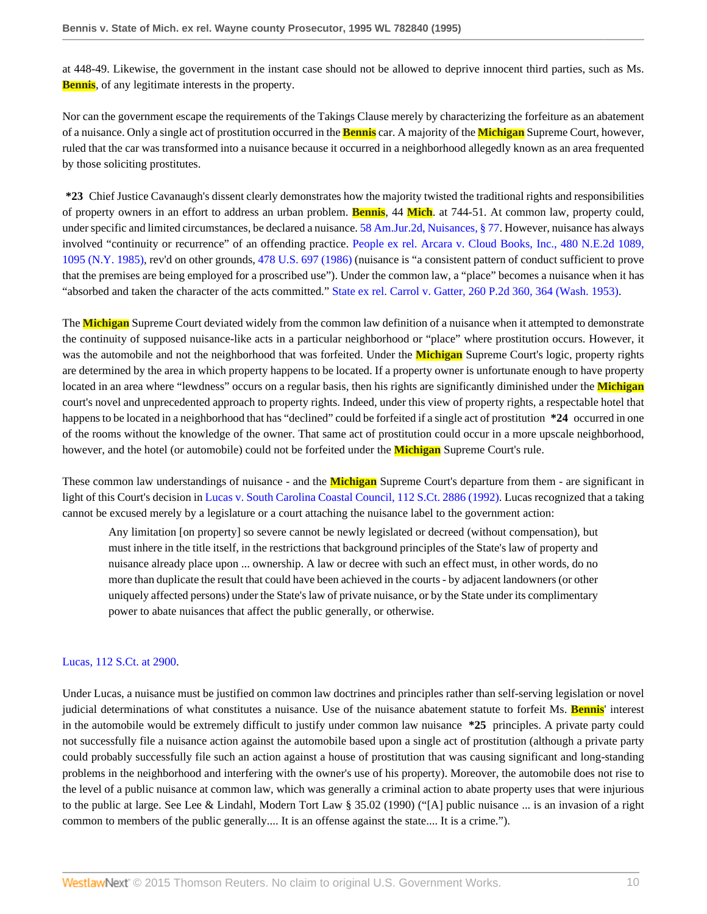at 448-49. Likewise, the government in the instant case should not be allowed to deprive innocent third parties, such as Ms. **Bennis**, of any legitimate interests in the property.

Nor can the government escape the requirements of the Takings Clause merely by characterizing the forfeiture as an abatement of a nuisance. Only a single act of prostitution occurred in the **Bennis** car. A majority of the **Michigan** Supreme Court, however, ruled that the car was transformed into a nuisance because it occurred in a neighborhood allegedly known as an area frequented by those soliciting prostitutes.

**\*23** Chief Justice Cavanaugh's dissent clearly demonstrates how the majority twisted the traditional rights and responsibilities of property owners in an effort to address an urban problem. **Bennis**, 44 **Mich**. at 744-51. At common law, property could, under specific and limited circumstances, be declared a nuisance. [58 Am.Jur.2d, Nuisances, § 77.](http://www.westlaw.com/Link/Document/FullText?findType=Y&serNum=0281699842&pubNum=0113639&originatingDoc=Ib65c616a6be511d895a5e9b84a5a6ac7&refType=TS&originationContext=document&vr=3.0&rs=cblt1.0&transitionType=DocumentItem&contextData=(sc.Search)) However, nuisance has always involved "continuity or recurrence" of an offending practice. [People ex rel. Arcara v. Cloud Books, Inc., 480 N.E.2d 1089,](http://www.westlaw.com/Link/Document/FullText?findType=Y&serNum=1985131087&pubNum=578&originatingDoc=Ib65c616a6be511d895a5e9b84a5a6ac7&refType=RP&fi=co_pp_sp_578_1095&originationContext=document&vr=3.0&rs=cblt1.0&transitionType=DocumentItem&contextData=(sc.Search)#co_pp_sp_578_1095) [1095 \(N.Y. 1985\),](http://www.westlaw.com/Link/Document/FullText?findType=Y&serNum=1985131087&pubNum=578&originatingDoc=Ib65c616a6be511d895a5e9b84a5a6ac7&refType=RP&fi=co_pp_sp_578_1095&originationContext=document&vr=3.0&rs=cblt1.0&transitionType=DocumentItem&contextData=(sc.Search)#co_pp_sp_578_1095) rev'd on other grounds, [478 U.S. 697 \(1986\)](http://www.westlaw.com/Link/Document/FullText?findType=Y&serNum=1986134544&pubNum=780&originatingDoc=Ib65c616a6be511d895a5e9b84a5a6ac7&refType=RP&originationContext=document&vr=3.0&rs=cblt1.0&transitionType=DocumentItem&contextData=(sc.Search)) (nuisance is "a consistent pattern of conduct sufficient to prove that the premises are being employed for a proscribed use"). Under the common law, a "place" becomes a nuisance when it has "absorbed and taken the character of the acts committed." [State ex rel. Carrol v. Gatter, 260 P.2d 360, 364 \(Wash. 1953\).](http://www.westlaw.com/Link/Document/FullText?findType=Y&serNum=1953103553&pubNum=661&originatingDoc=Ib65c616a6be511d895a5e9b84a5a6ac7&refType=RP&fi=co_pp_sp_661_364&originationContext=document&vr=3.0&rs=cblt1.0&transitionType=DocumentItem&contextData=(sc.Search)#co_pp_sp_661_364)

The **Michigan** Supreme Court deviated widely from the common law definition of a nuisance when it attempted to demonstrate the continuity of supposed nuisance-like acts in a particular neighborhood or "place" where prostitution occurs. However, it was the automobile and not the neighborhood that was forfeited. Under the **Michigan** Supreme Court's logic, property rights are determined by the area in which property happens to be located. If a property owner is unfortunate enough to have property located in an area where "lewdness" occurs on a regular basis, then his rights are significantly diminished under the **Michigan** court's novel and unprecedented approach to property rights. Indeed, under this view of property rights, a respectable hotel that happens to be located in a neighborhood that has "declined" could be forfeited if a single act of prostitution **\*24** occurred in one of the rooms without the knowledge of the owner. That same act of prostitution could occur in a more upscale neighborhood, however, and the hotel (or automobile) could not be forfeited under the **Michigan** Supreme Court's rule.

These common law understandings of nuisance - and the **Michigan** Supreme Court's departure from them - are significant in light of this Court's decision in [Lucas v. South Carolina Coastal Council, 112 S.Ct. 2886 \(1992\)](http://www.westlaw.com/Link/Document/FullText?findType=Y&serNum=1992116311&pubNum=708&originatingDoc=Ib65c616a6be511d895a5e9b84a5a6ac7&refType=RP&originationContext=document&vr=3.0&rs=cblt1.0&transitionType=DocumentItem&contextData=(sc.Search)). Lucas recognized that a taking cannot be excused merely by a legislature or a court attaching the nuisance label to the government action:

Any limitation [on property] so severe cannot be newly legislated or decreed (without compensation), but must inhere in the title itself, in the restrictions that background principles of the State's law of property and nuisance already place upon ... ownership. A law or decree with such an effect must, in other words, do no more than duplicate the result that could have been achieved in the courts - by adjacent landowners (or other uniquely affected persons) under the State's law of private nuisance, or by the State under its complimentary power to abate nuisances that affect the public generally, or otherwise.

#### [Lucas, 112 S.Ct. at 2900.](http://www.westlaw.com/Link/Document/FullText?findType=Y&serNum=1992116311&pubNum=708&originatingDoc=Ib65c616a6be511d895a5e9b84a5a6ac7&refType=RP&fi=co_pp_sp_708_2900&originationContext=document&vr=3.0&rs=cblt1.0&transitionType=DocumentItem&contextData=(sc.Search)#co_pp_sp_708_2900)

Under Lucas, a nuisance must be justified on common law doctrines and principles rather than self-serving legislation or novel judicial determinations of what constitutes a nuisance. Use of the nuisance abatement statute to forfeit Ms. **Bennis**' interest in the automobile would be extremely difficult to justify under common law nuisance **\*25** principles. A private party could not successfully file a nuisance action against the automobile based upon a single act of prostitution (although a private party could probably successfully file such an action against a house of prostitution that was causing significant and long-standing problems in the neighborhood and interfering with the owner's use of his property). Moreover, the automobile does not rise to the level of a public nuisance at common law, which was generally a criminal action to abate property uses that were injurious to the public at large. See Lee & Lindahl, Modern Tort Law § 35.02 (1990) ("[A] public nuisance ... is an invasion of a right common to members of the public generally.... It is an offense against the state.... It is a crime.").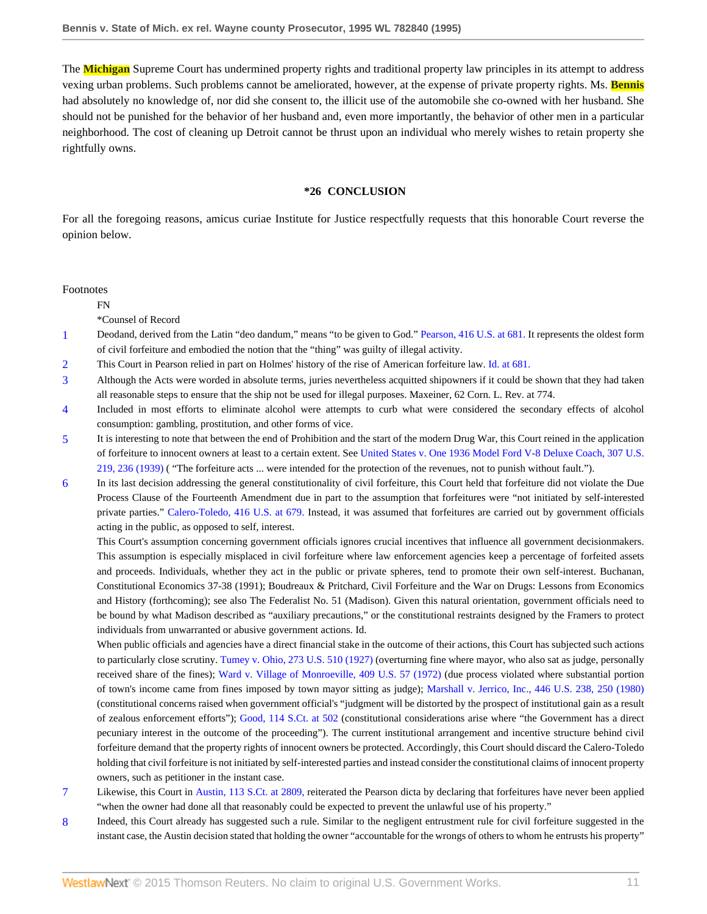The **Michigan** Supreme Court has undermined property rights and traditional property law principles in its attempt to address vexing urban problems. Such problems cannot be ameliorated, however, at the expense of private property rights. Ms. **Bennis** had absolutely no knowledge of, nor did she consent to, the illicit use of the automobile she co-owned with her husband. She should not be punished for the behavior of her husband and, even more importantly, the behavior of other men in a particular neighborhood. The cost of cleaning up Detroit cannot be thrust upon an individual who merely wishes to retain property she rightfully owns.

#### **\*26 CONCLUSION**

For all the foregoing reasons, amicus curiae Institute for Justice respectfully requests that this honorable Court reverse the opinion below.

Footnotes

FN

\*Counsel of Record

- <span id="page-10-0"></span>[1](#page-4-0) Deodand, derived from the Latin "deo dandum," means "to be given to God." [Pearson, 416 U.S. at 681.](http://www.westlaw.com/Link/Document/FullText?findType=Y&serNum=1974127188&pubNum=780&originatingDoc=Ib65c616a6be511d895a5e9b84a5a6ac7&refType=RP&fi=co_pp_sp_780_681&originationContext=document&vr=3.0&rs=cblt1.0&transitionType=DocumentItem&contextData=(sc.Search)#co_pp_sp_780_681) It represents the oldest form of civil forfeiture and embodied the notion that the "thing" was guilty of illegal activity.
- <span id="page-10-1"></span>[2](#page-4-1) This Court in Pearson relied in part on Holmes' history of the rise of American forfeiture law. [Id. at 681.](http://www.westlaw.com/Link/Document/FullText?findType=Y&serNum=1974127188&originatingDoc=Ib65c616a6be511d895a5e9b84a5a6ac7&refType=RP&originationContext=document&vr=3.0&rs=cblt1.0&transitionType=DocumentItem&contextData=(sc.Search))
- <span id="page-10-2"></span>[3](#page-4-2) Although the Acts were worded in absolute terms, juries nevertheless acquitted shipowners if it could be shown that they had taken all reasonable steps to ensure that the ship not be used for illegal purposes. Maxeiner, 62 Corn. L. Rev. at 774.
- <span id="page-10-3"></span>[4](#page-5-0) Included in most efforts to eliminate alcohol were attempts to curb what were considered the secondary effects of alcohol consumption: gambling, prostitution, and other forms of vice.
- <span id="page-10-4"></span>[5](#page-5-1) It is interesting to note that between the end of Prohibition and the start of the modern Drug War, this Court reined in the application of forfeiture to innocent owners at least to a certain extent. See [United States v. One 1936 Model Ford V-8 Deluxe Coach, 307 U.S.](http://www.westlaw.com/Link/Document/FullText?findType=Y&serNum=1939124651&pubNum=780&originatingDoc=Ib65c616a6be511d895a5e9b84a5a6ac7&refType=RP&fi=co_pp_sp_780_236&originationContext=document&vr=3.0&rs=cblt1.0&transitionType=DocumentItem&contextData=(sc.Search)#co_pp_sp_780_236) [219, 236 \(1939\)](http://www.westlaw.com/Link/Document/FullText?findType=Y&serNum=1939124651&pubNum=780&originatingDoc=Ib65c616a6be511d895a5e9b84a5a6ac7&refType=RP&fi=co_pp_sp_780_236&originationContext=document&vr=3.0&rs=cblt1.0&transitionType=DocumentItem&contextData=(sc.Search)#co_pp_sp_780_236) ( "The forfeiture acts ... were intended for the protection of the revenues, not to punish without fault.").
- <span id="page-10-5"></span>[6](#page-6-0) In its last decision addressing the general constitutionality of civil forfeiture, this Court held that forfeiture did not violate the Due Process Clause of the Fourteenth Amendment due in part to the assumption that forfeitures were "not initiated by self-interested private parties." [Calero-Toledo, 416 U.S. at 679.](http://www.westlaw.com/Link/Document/FullText?findType=Y&serNum=1974127188&pubNum=780&originatingDoc=Ib65c616a6be511d895a5e9b84a5a6ac7&refType=RP&fi=co_pp_sp_780_679&originationContext=document&vr=3.0&rs=cblt1.0&transitionType=DocumentItem&contextData=(sc.Search)#co_pp_sp_780_679) Instead, it was assumed that forfeitures are carried out by government officials acting in the public, as opposed to self, interest.

This Court's assumption concerning government officials ignores crucial incentives that influence all government decisionmakers. This assumption is especially misplaced in civil forfeiture where law enforcement agencies keep a percentage of forfeited assets and proceeds. Individuals, whether they act in the public or private spheres, tend to promote their own self-interest. Buchanan, Constitutional Economics 37-38 (1991); Boudreaux & Pritchard, Civil Forfeiture and the War on Drugs: Lessons from Economics and History (forthcoming); see also The Federalist No. 51 (Madison). Given this natural orientation, government officials need to be bound by what Madison described as "auxiliary precautions," or the constitutional restraints designed by the Framers to protect individuals from unwarranted or abusive government actions. Id.

When public officials and agencies have a direct financial stake in the outcome of their actions, this Court has subjected such actions to particularly close scrutiny. [Tumey v. Ohio, 273 U.S. 510 \(1927\)](http://www.westlaw.com/Link/Document/FullText?findType=Y&serNum=1927124409&pubNum=780&originatingDoc=Ib65c616a6be511d895a5e9b84a5a6ac7&refType=RP&originationContext=document&vr=3.0&rs=cblt1.0&transitionType=DocumentItem&contextData=(sc.Search)) (overturning fine where mayor, who also sat as judge, personally received share of the fines); [Ward v. Village of Monroeville, 409 U.S. 57 \(1972\)](http://www.westlaw.com/Link/Document/FullText?findType=Y&serNum=1972137546&pubNum=780&originatingDoc=Ib65c616a6be511d895a5e9b84a5a6ac7&refType=RP&originationContext=document&vr=3.0&rs=cblt1.0&transitionType=DocumentItem&contextData=(sc.Search)) (due process violated where substantial portion of town's income came from fines imposed by town mayor sitting as judge); [Marshall v. Jerrico, Inc., 446 U.S. 238, 250 \(1980\)](http://www.westlaw.com/Link/Document/FullText?findType=Y&serNum=1980111423&pubNum=780&originatingDoc=Ib65c616a6be511d895a5e9b84a5a6ac7&refType=RP&fi=co_pp_sp_780_250&originationContext=document&vr=3.0&rs=cblt1.0&transitionType=DocumentItem&contextData=(sc.Search)#co_pp_sp_780_250) (constitutional concerns raised when government official's "judgment will be distorted by the prospect of institutional gain as a result of zealous enforcement efforts"); [Good, 114 S.Ct. at 502](http://www.westlaw.com/Link/Document/FullText?findType=Y&serNum=1993232386&pubNum=708&originatingDoc=Ib65c616a6be511d895a5e9b84a5a6ac7&refType=RP&fi=co_pp_sp_708_502&originationContext=document&vr=3.0&rs=cblt1.0&transitionType=DocumentItem&contextData=(sc.Search)#co_pp_sp_708_502) (constitutional considerations arise where "the Government has a direct pecuniary interest in the outcome of the proceeding"). The current institutional arrangement and incentive structure behind civil forfeiture demand that the property rights of innocent owners be protected. Accordingly, this Court should discard the Calero-Toledo holding that civil forfeiture is not initiated by self-interested parties and instead consider the constitutional claims of innocent property owners, such as petitioner in the instant case.

- <span id="page-10-6"></span>[7](#page-6-1) Likewise, this Court in [Austin, 113 S.Ct. at 2809,](http://www.westlaw.com/Link/Document/FullText?findType=Y&serNum=1993130661&pubNum=708&originatingDoc=Ib65c616a6be511d895a5e9b84a5a6ac7&refType=RP&fi=co_pp_sp_708_2809&originationContext=document&vr=3.0&rs=cblt1.0&transitionType=DocumentItem&contextData=(sc.Search)#co_pp_sp_708_2809) reiterated the Pearson dicta by declaring that forfeitures have never been applied "when the owner had done all that reasonably could be expected to prevent the unlawful use of his property."
- <span id="page-10-7"></span>[8](#page-7-0) Indeed, this Court already has suggested such a rule. Similar to the negligent entrustment rule for civil forfeiture suggested in the instant case, the Austin decision stated that holding the owner "accountable for the wrongs of others to whom he entrusts his property"